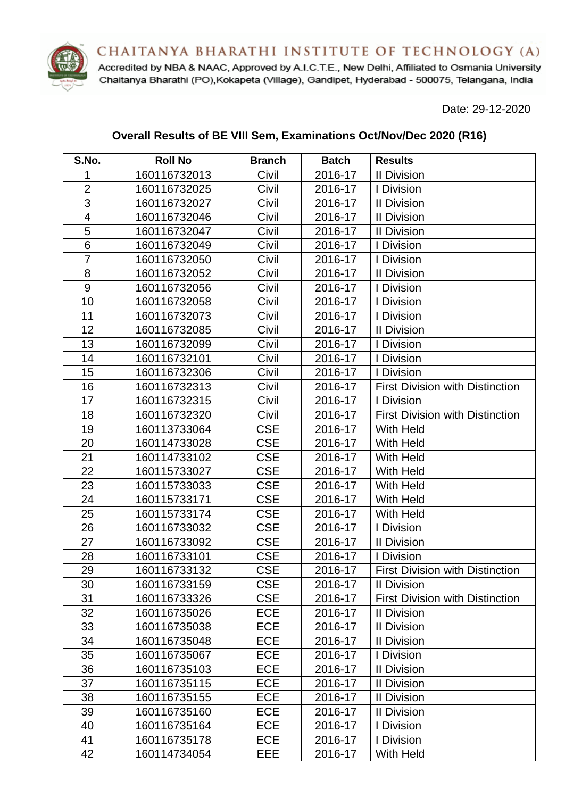CHAITANYA BHARATHI INSTITUTE OF TECHNOLOGY (A)



Accredited by NBA & NAAC, Approved by A.I.C.T.E., New Delhi, Affiliated to Osmania University Chaitanya Bharathi (PO), Kokapeta (Village), Gandipet, Hyderabad - 500075, Telangana, India

Date: 29-12-2020

| S.No.                   | <b>Roll No</b> | <b>Branch</b> | <b>Batch</b> | <b>Results</b>                         |
|-------------------------|----------------|---------------|--------------|----------------------------------------|
| 1                       | 160116732013   | Civil         | 2016-17      | <b>II Division</b>                     |
| $\overline{2}$          | 160116732025   | Civil         | 2016-17      | I Division                             |
| $\overline{3}$          | 160116732027   | Civil         | 2016-17      | <b>II Division</b>                     |
| $\overline{\mathbf{4}}$ | 160116732046   | Civil         | 2016-17      | <b>II Division</b>                     |
| 5                       | 160116732047   | Civil         | 2016-17      | <b>II Division</b>                     |
| 6                       | 160116732049   | Civil         | 2016-17      | I Division                             |
| $\overline{7}$          | 160116732050   | Civil         | 2016-17      | I Division                             |
| 8                       | 160116732052   | Civil         | 2016-17      | <b>II Division</b>                     |
| 9                       | 160116732056   | Civil         | 2016-17      | I Division                             |
| 10                      | 160116732058   | Civil         | 2016-17      | I Division                             |
| 11                      | 160116732073   | Civil         | 2016-17      | I Division                             |
| 12                      | 160116732085   | Civil         | 2016-17      | <b>II Division</b>                     |
| 13                      | 160116732099   | Civil         | 2016-17      | I Division                             |
| 14                      | 160116732101   | Civil         | 2016-17      | I Division                             |
| 15                      | 160116732306   | Civil         | 2016-17      | I Division                             |
| 16                      | 160116732313   | Civil         | 2016-17      | <b>First Division with Distinction</b> |
| 17                      | 160116732315   | Civil         | 2016-17      | I Division                             |
| 18                      | 160116732320   | Civil         | 2016-17      | <b>First Division with Distinction</b> |
| 19                      | 160113733064   | <b>CSE</b>    | 2016-17      | <b>With Held</b>                       |
| 20                      | 160114733028   | <b>CSE</b>    | 2016-17      | <b>With Held</b>                       |
| 21                      | 160114733102   | <b>CSE</b>    | 2016-17      | <b>With Held</b>                       |
| 22                      | 160115733027   | <b>CSE</b>    | 2016-17      | <b>With Held</b>                       |
| 23                      | 160115733033   | <b>CSE</b>    | 2016-17      | <b>With Held</b>                       |
| 24                      | 160115733171   | <b>CSE</b>    | 2016-17      | <b>With Held</b>                       |
| 25                      | 160115733174   | <b>CSE</b>    | 2016-17      | <b>With Held</b>                       |
| 26                      | 160116733032   | <b>CSE</b>    | 2016-17      | I Division                             |
| 27                      | 160116733092   | <b>CSE</b>    | 2016-17      | <b>II Division</b>                     |
| 28                      | 160116733101   | <b>CSE</b>    | 2016-17      | I Division                             |
| 29                      | 160116733132   | <b>CSE</b>    | 2016-17      | <b>First Division with Distinction</b> |
| 30                      | 160116733159   | <b>CSE</b>    | 2016-17      | <b>II Division</b>                     |
| 31                      | 160116733326   | <b>CSE</b>    | 2016-17      | <b>First Division with Distinction</b> |
| 32                      | 160116735026   | <b>ECE</b>    | 2016-17      | <b>II Division</b>                     |
| 33                      | 160116735038   | <b>ECE</b>    | 2016-17      | <b>II Division</b>                     |
| 34                      | 160116735048   | <b>ECE</b>    | 2016-17      | <b>II Division</b>                     |
| 35                      | 160116735067   | ECE           | 2016-17      | I Division                             |
| 36                      | 160116735103   | <b>ECE</b>    | 2016-17      | <b>II Division</b>                     |
| 37                      | 160116735115   | ECE           | 2016-17      | <b>II Division</b>                     |
| 38                      | 160116735155   | <b>ECE</b>    | 2016-17      | <b>II Division</b>                     |
| 39                      | 160116735160   | ECE           | 2016-17      | <b>II Division</b>                     |
| 40                      | 160116735164   | <b>ECE</b>    | 2016-17      | I Division                             |
| 41                      | 160116735178   | <b>ECE</b>    | 2016-17      | I Division                             |
| 42                      | 160114734054   | EEE           | 2016-17      | With Held                              |

## **Overall Results of BE VIII Sem, Examinations Oct/Nov/Dec 2020 (R16)**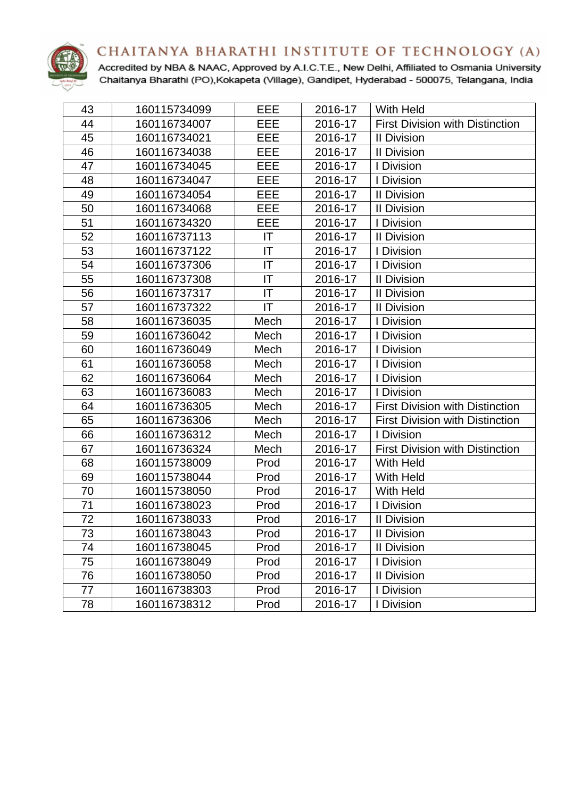## CHAITANYA BHARATHI INSTITUTE OF TECHNOLOGY (A)



Accredited by NBA & NAAC, Approved by A.I.C.T.E., New Delhi, Affiliated to Osmania University Chaitanya Bharathi (PO), Kokapeta (Village), Gandipet, Hyderabad - 500075, Telangana, India

| 43 | 160115734099                 | EEE  |         | <b>With Held</b>                       |
|----|------------------------------|------|---------|----------------------------------------|
| 44 |                              | EEE  | 2016-17 |                                        |
| 45 | 160116734007<br>160116734021 | EEE  | 2016-17 | <b>First Division with Distinction</b> |
| 46 |                              |      | 2016-17 | <b>II Division</b>                     |
|    | 160116734038                 | EEE  | 2016-17 | <b>II Division</b>                     |
| 47 | 160116734045                 | EEE  | 2016-17 | I Division                             |
| 48 | 160116734047                 | EEE  | 2016-17 | I Division                             |
| 49 | 160116734054                 | EEE  | 2016-17 | <b>II Division</b>                     |
| 50 | 160116734068                 | EEE  | 2016-17 | <b>II Division</b>                     |
| 51 | 160116734320                 | EEE  | 2016-17 | I Division                             |
| 52 | 160116737113                 | IT   | 2016-17 | <b>II Division</b>                     |
| 53 | 160116737122                 | IT   | 2016-17 | I Division                             |
| 54 | 160116737306                 | IT   | 2016-17 | I Division                             |
| 55 | 160116737308                 | IT   | 2016-17 | <b>II Division</b>                     |
| 56 | 160116737317                 | IT   | 2016-17 | <b>II Division</b>                     |
| 57 | 160116737322                 | IT   | 2016-17 | <b>II Division</b>                     |
| 58 | 160116736035                 | Mech | 2016-17 | I Division                             |
| 59 | 160116736042                 | Mech | 2016-17 | I Division                             |
| 60 | 160116736049                 | Mech | 2016-17 | I Division                             |
| 61 | 160116736058                 | Mech | 2016-17 | I Division                             |
| 62 | 160116736064                 | Mech | 2016-17 | I Division                             |
| 63 | 160116736083                 | Mech | 2016-17 | I Division                             |
| 64 | 160116736305                 | Mech | 2016-17 | <b>First Division with Distinction</b> |
| 65 | 160116736306                 | Mech | 2016-17 | <b>First Division with Distinction</b> |
| 66 | 160116736312                 | Mech | 2016-17 | I Division                             |
| 67 | 160116736324                 | Mech | 2016-17 | <b>First Division with Distinction</b> |
| 68 | 160115738009                 | Prod | 2016-17 | With Held                              |
| 69 | 160115738044                 | Prod | 2016-17 | With Held                              |
| 70 | 160115738050                 | Prod | 2016-17 | With Held                              |
| 71 | 160116738023                 | Prod | 2016-17 | I Division                             |
| 72 | 160116738033                 | Prod | 2016-17 | <b>II Division</b>                     |
| 73 | 160116738043                 | Prod | 2016-17 | <b>II Division</b>                     |
| 74 | 160116738045                 | Prod | 2016-17 | <b>II Division</b>                     |
| 75 | 160116738049                 | Prod | 2016-17 | I Division                             |
| 76 | 160116738050                 | Prod | 2016-17 | <b>II Division</b>                     |
| 77 | 160116738303                 | Prod | 2016-17 | I Division                             |
| 78 | 160116738312                 | Prod | 2016-17 | I Division                             |